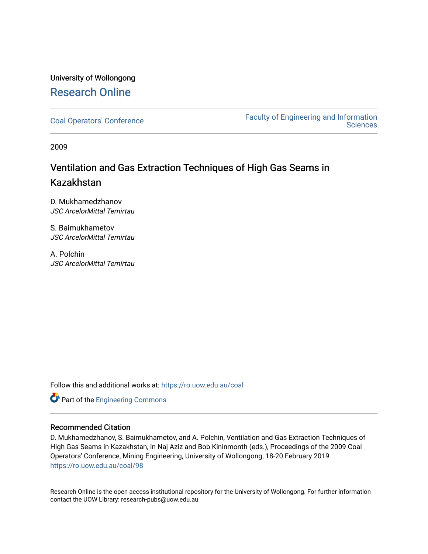## University of Wollongong [Research Online](https://ro.uow.edu.au/)

[Coal Operators' Conference](https://ro.uow.edu.au/coal) [Faculty of Engineering and Information](https://ro.uow.edu.au/eis)  **Sciences** 

2009

# Ventilation and Gas Extraction Techniques of High Gas Seams in Kazakhstan

D. Mukhamedzhanov JSC ArcelorMittal Temirtau

S. Baimukhametov JSC ArcelorMittal Temirtau

A. Polchin JSC ArcelorMittal Temirtau

Follow this and additional works at: [https://ro.uow.edu.au/coal](https://ro.uow.edu.au/coal?utm_source=ro.uow.edu.au%2Fcoal%2F98&utm_medium=PDF&utm_campaign=PDFCoverPages) 

Part of the [Engineering Commons](http://network.bepress.com/hgg/discipline/217?utm_source=ro.uow.edu.au%2Fcoal%2F98&utm_medium=PDF&utm_campaign=PDFCoverPages)

### Recommended Citation

D. Mukhamedzhanov, S. Baimukhametov, and A. Polchin, Ventilation and Gas Extraction Techniques of High Gas Seams in Kazakhstan, in Naj Aziz and Bob Kininmonth (eds.), Proceedings of the 2009 Coal Operators' Conference, Mining Engineering, University of Wollongong, 18-20 February 2019 [https://ro.uow.edu.au/coal/98](https://ro.uow.edu.au/coal/98?utm_source=ro.uow.edu.au%2Fcoal%2F98&utm_medium=PDF&utm_campaign=PDFCoverPages) 

Research Online is the open access institutional repository for the University of Wollongong. For further information contact the UOW Library: research-pubs@uow.edu.au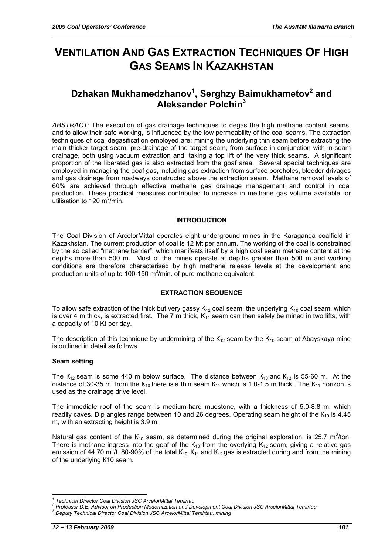# **VENTILATION AND GAS EXTRACTION TECHNIQUES OF HIGH GAS SEAMS IN KAZAKHSTAN**

## **Dzhakan Mukhamedzhanov<sup>1</sup> , Serghzy Baimukhametov<sup>2</sup> and Aleksander Polchin<sup>3</sup>**

*ABSTRACT:* The execution of gas drainage techniques to degas the high methane content seams, and to allow their safe working, is influenced by the low permeability of the coal seams. The extraction techniques of coal degasification employed are; mining the underlying thin seam before extracting the main thicker target seam; pre-drainage of the target seam, from surface in conjunction with in-seam drainage, both using vacuum extraction and; taking a top lift of the very thick seams. A significant proportion of the liberated gas is also extracted from the goaf area. Several special techniques are employed in managing the goaf gas, including gas extraction from surface boreholes, bleeder drivages and gas drainage from roadways constructed above the extraction seam. Methane removal levels of 60% are achieved through effective methane gas drainage management and control in coal production. These practical measures contributed to increase in methane gas volume available for utilisation to 120 m $\frac{3}{2}$ min.

#### **INTRODUCTION**

The Coal Division of ArcelorMittal operates eight underground mines in the Karaganda coalfield in Kazakhstan. The current production of coal is 12 Mt per annum. The working of the coal is constrained by the so called "methane barrier", which manifests itself by a high coal seam methane content at the depths more than 500 m. Most of the mines operate at depths greater than 500 m and working conditions are therefore characterised by high methane release levels at the development and production units of up to 100-150  $m^3/m$ in. of pure methane equivalent.

#### **EXTRACTION SEQUENCE**

To allow safe extraction of the thick but very gassy  $K_{12}$  coal seam, the underlying  $K_{10}$  coal seam, which is over 4 m thick, is extracted first. The 7 m thick,  $K_{12}$  seam can then safely be mined in two lifts, with a capacity of 10 Kt per day.

The description of this technique by undermining of the  $K_{12}$  seam by the  $K_{10}$  seam at Abayskaya mine is outlined in detail as follows.

#### **Seam setting**

The  $K_{12}$  seam is some 440 m below surface. The distance between  $K_{10}$  and  $K_{12}$  is 55-60 m. At the distance of 30-35 m. from the  $K_{10}$  there is a thin seam  $K_{11}$  which is 1.0-1.5 m thick. The  $K_{11}$  horizon is used as the drainage drive level.

The immediate roof of the seam is medium-hard mudstone, with a thickness of 5.0-8.8 m, which readily caves. Dip angles range between 10 and 26 degrees. Operating seam height of the  $K_{10}$  is 4.45 m, with an extracting height is 3.9 m.

Natural gas content of the  $K_{10}$  seam, as determined during the original exploration, is 25.7 m<sup>3</sup>/ton. There is methane ingress into the goaf of the  $K_{10}$  from the overlying  $K_{12}$  seam, giving a relative gas emission of 44.70 m<sup>3</sup>/t. 80-90% of the total K<sub>10,</sub> K<sub>11</sub> and K<sub>12</sub> gas is extracted during and from the mining of the underlying К10 seam.

 $\overline{a}$ 

*<sup>1</sup> Technical Director Coal Division JSC ArcelorMittal Temirtau 2*

<sup>&</sup>lt;sup>2</sup> Professor D.E, Advisor on Production Modernization and Development Coal Division JSC ArcelorMittal Temirtau

*Deputy Technical Director Coal Division JSC ArcelorMittal Temirtau, mining*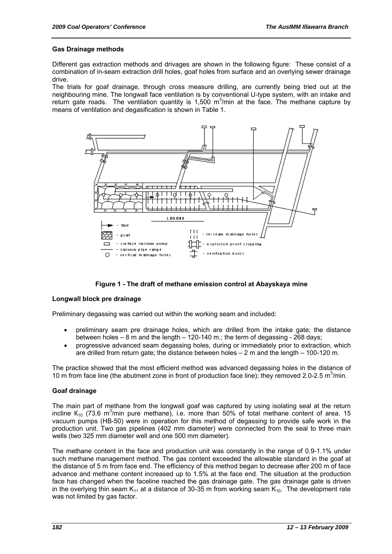#### **Gas Drainage methods**

Different gas extraction methods and drivages are shown in the following figure: These consist of a combination of in-seam extraction drill holes, goaf holes from surface and an overlying sewer drainage drive.

The trials for goaf drainage, through cross measure drilling, are currently being tried out at the neighbouring mine. The longwall face ventilation is by conventional U-type system, with an intake and return gate roads. The ventilation quantity is 1,500  $m^3/m$ in at the face. The methane capture by means of ventilation and degasification is shown in Table 1.



#### **Figure 1 - The draft of methane emission control at Abayskaya mine**

#### **Longwall block pre drainage**

Preliminary degassing was carried out within the working seam and included:

- preliminary seam pre drainage holes, which are drilled from the intake gate; the distance between holes – 8 m and the length – 120-140 m.; the term of degassing - 268 days;
- progressive advanced seam degassing holes, during or immediately prior to extraction, which are drilled from return gate; the distance between holes – 2 m and the length – 100-120 m.

The practice showed that the most efficient method was advanced degassing holes in the distance of 10 m from face line (the abutment zone in front of production face line); they removed 2.0-2.5 m<sup>3</sup>/min.

#### **Goaf drainage**

The main part of methane from the longwall goaf was captured by using isolating seal at the return incline  $K_{10}$  (73.6 m<sup>3</sup>/min pure methane), i.e. more than 50% of total methane content of area. 15 vacuum pumps (НВ-50) were in operation for this method of degassing to provide safe work in the production unit. Two gas pipelines (402 mm diameter) were connected from the seal to three main wells (two 325 mm diameter well and one 500 mm diameter).

The methane content in the face and production unit was constantly in the range of 0.9-1.1% under such methane management method. The gas content exceeded the allowable standard in the goaf at the distance of 5 m from face end. The efficiency of this method began to decrease after 200 m of face advance and methane content increased up to 1.5% at the face end. The situation at the production face has changed when the faceline reached the gas drainage gate. The gas drainage gate is driven in the overlying thin seam  $K_{11}$  at a distance of 30-35 m from working seam  $K_{10}$ . The development rate was not limited by gas factor.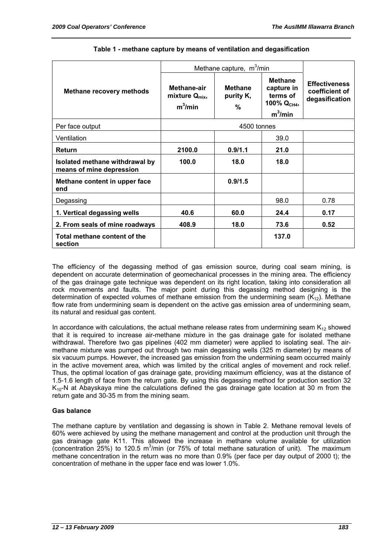|                                                            | Methane capture, $m^3/m$ in                      |                                  |                                                                       |                                                          |  |
|------------------------------------------------------------|--------------------------------------------------|----------------------------------|-----------------------------------------------------------------------|----------------------------------------------------------|--|
| <b>Methane recovery methods</b>                            | Methane-air<br>mixture $Q_{mix}$ ,<br>$m^3/m$ in | <b>Methane</b><br>purity K,<br>% | <b>Methane</b><br>capture in<br>terms of<br>100% $QCH4$<br>$m^3/m$ in | <b>Effectiveness</b><br>coefficient of<br>degasification |  |
| Per face output                                            | 4500 tonnes                                      |                                  |                                                                       |                                                          |  |
| Ventilation                                                |                                                  |                                  | 39.0                                                                  |                                                          |  |
| <b>Return</b>                                              | 2100.0                                           | 0.9/1.1                          | 21.0                                                                  |                                                          |  |
| Isolated methane withdrawal by<br>means of mine depression | 100.0                                            | 18.0                             | 18.0                                                                  |                                                          |  |
| Methane content in upper face<br>end                       |                                                  | 0.9/1.5                          |                                                                       |                                                          |  |
| Degassing                                                  |                                                  |                                  | 98.0                                                                  | 0.78                                                     |  |
| 1. Vertical degassing wells                                | 40.6                                             | 60.0                             | 24.4                                                                  | 0.17                                                     |  |
| 2. From seals of mine roadways                             | 408.9                                            | 18.0                             | 73.6                                                                  | 0.52                                                     |  |
| Total methane content of the<br>section                    |                                                  |                                  | 137.0                                                                 |                                                          |  |

#### **Table 1 - methane capture by means of ventilation and degasification**

The efficiency of the degassing method of gas emission source, during coal seam mining, is dependent on accurate determination of geomechanical processes in the mining area. The efficiency of the gas drainage gate technique was dependent on its right location, taking into consideration all rock movements and faults. The major point during this degassing method designing is the determination of expected volumes of methane emission from the undermining seam  $(K_{12})$ . Methane flow rate from undermining seam is dependent on the active gas emission area of undermining seam, its natural and residual gas content.

In accordance with calculations, the actual methane release rates from undermining seam  $K_{12}$  showed that it is required to increase air-methane mixture in the gas drainage gate for isolated methane withdrawal. Therefore two gas pipelines (402 mm diameter) were applied to isolating seal. The airmethane mixture was pumped out through two main degassing wells (325 m diameter) by means of six vacuum pumps. However, the increased gas emission from the undermining seam occurred mainly in the active movement area, which was limited by the critical angles of movement and rock relief. Thus, the optimal location of gas drainage gate, providing maximum efficiency, was at the distance of 1.5-1.6 length of face from the return gate. By using this degassing method for production section 32  $K<sub>10</sub>$ -N at Abayskaya mine the calculations defined the gas drainage gate location at 30 m from the return gate and 30-35 m from the mining seam.

#### **Gas balance**

The methane capture by ventilation and degassing is shown in Table 2. Methane removal levels of 60% were achieved by using the methane management and control at the production unit through the gas drainage gate K11. This allowed the increase in methane volume available for utilization (concentration  $25%$ ) to 120.5 m<sup>3</sup>/min (or 75% of total methane saturation of unit). The maximum methane concentration in the return was no more than 0.9% (per face per day output of 2000 t); the concentration of methane in the upper face end was lower 1.0%.